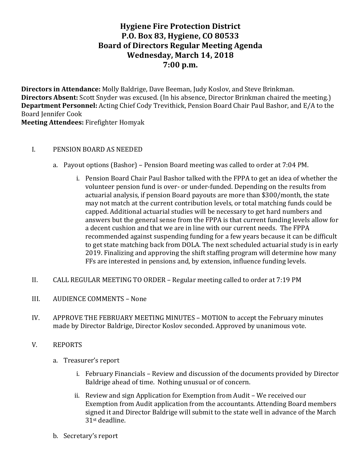# **Hygiene Fire Protection District P.O. Box 83, Hygiene, CO 80533 Board of Directors Regular Meeting Agenda Wednesday, March 14, 2018 7:00 p.m.**

**Directors in Attendance:** Molly Baldrige, Dave Beeman, Judy Koslov, and Steve Brinkman. **Directors Absent:** Scott Snyder was excused. (In his absence, Director Brinkman chaired the meeting.) **Department Personnel:** Acting Chief Cody Trevithick, Pension Board Chair Paul Bashor, and E/A to the Board Jennifer Cook

**Meeting Attendees:** Firefighter Homyak

### I. PENSION BOARD AS NEEDED

- a. Payout options (Bashor) Pension Board meeting was called to order at 7:04 PM.
	- i. Pension Board Chair Paul Bashor talked with the FPPA to get an idea of whether the volunteer pension fund is over- or under-funded. Depending on the results from actuarial analysis, if pension Board payouts are more than \$300/month, the state may not match at the current contribution levels, or total matching funds could be capped. Additional actuarial studies will be necessary to get hard numbers and answers but the general sense from the FPPA is that current funding levels allow for a decent cushion and that we are in line with our current needs. The FPPA recommended against suspending funding for a few years because it can be difficult to get state matching back from DOLA. The next scheduled actuarial study is in early 2019. Finalizing and approving the shift staffing program will determine how many FFs are interested in pensions and, by extension, influence funding levels.
- II. CALL REGULAR MEETING TO ORDER Regular meeting called to order at 7:19 PM
- III. AUDIENCE COMMENTS None
- IV. APPROVE THE FEBRUARY MEETING MINUTES MOTION to accept the February minutes made by Director Baldrige, Director Koslov seconded. Approved by unanimous vote.
- V. REPORTS
	- a. Treasurer's report
		- i. February Financials Review and discussion of the documents provided by Director Baldrige ahead of time. Nothing unusual or of concern.
		- ii. Review and sign Application for Exemption from Audit We received our Exemption from Audit application from the accountants. Attending Board members signed it and Director Baldrige will submit to the state well in advance of the March 31st deadline.
	- b. Secretary's report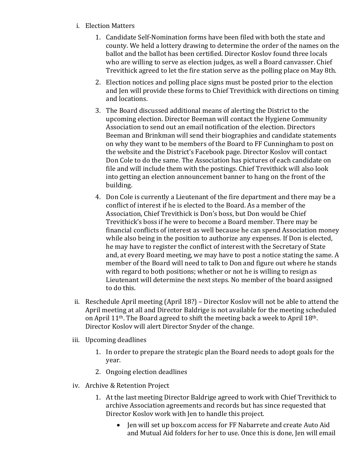- i. Election Matters
	- 1. Candidate Self-Nomination forms have been filed with both the state and county. We held a lottery drawing to determine the order of the names on the ballot and the ballot has been certified. Director Koslov found three locals who are willing to serve as election judges, as well a Board canvasser. Chief Trevithick agreed to let the fire station serve as the polling place on May 8th.
	- 2. Election notices and polling place signs must be posted prior to the election and Jen will provide these forms to Chief Trevithick with directions on timing and locations.
	- 3. The Board discussed additional means of alerting the District to the upcoming election. Director Beeman will contact the Hygiene Community Association to send out an email notification of the election. Directors Beeman and Brinkman will send their biographies and candidate statements on why they want to be members of the Board to FF Cunningham to post on the website and the District's Facebook page. Director Koslov will contact Don Cole to do the same. The Association has pictures of each candidate on file and will include them with the postings. Chief Trevithick will also look into getting an election announcement banner to hang on the front of the building.
	- 4. Don Cole is currently a Lieutenant of the fire department and there may be a conflict of interest if he is elected to the Board. As a member of the Association, Chief Trevithick is Don's boss, but Don would be Chief Trevithick's boss if he were to become a Board member. There may be financial conflicts of interest as well because he can spend Association money while also being in the position to authorize any expenses. If Don is elected, he may have to register the conflict of interest with the Secretary of State and, at every Board meeting, we may have to post a notice stating the same. A member of the Board will need to talk to Don and figure out where he stands with regard to both positions; whether or not he is willing to resign as Lieutenant will determine the next steps. No member of the board assigned to do this.
- ii. Reschedule April meeting (April 18?) Director Koslov will not be able to attend the April meeting at all and Director Baldrige is not available for the meeting scheduled on April  $11^{th}$ . The Board agreed to shift the meeting back a week to April  $18^{th}$ . Director Koslov will alert Director Snyder of the change.
- iii. Upcoming deadlines
	- 1. In order to prepare the strategic plan the Board needs to adopt goals for the year.
	- 2. Ongoing election deadlines
- iv. Archive & Retention Project
	- 1. At the last meeting Director Baldrige agreed to work with Chief Trevithick to archive Association agreements and records but has since requested that Director Koslov work with Jen to handle this project.
		- Jen will set up box.com access for FF Nabarrete and create Auto Aid and Mutual Aid folders for her to use. Once this is done, Jen will email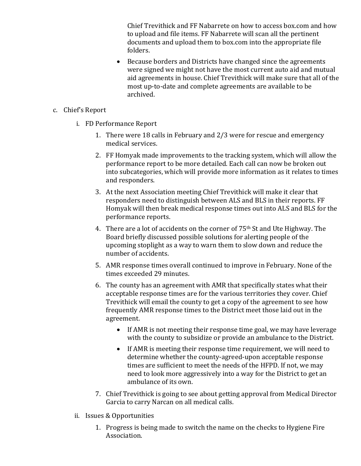Chief Trevithick and FF Nabarrete on how to access box.com and how to upload and file items. FF Nabarrete will scan all the pertinent documents and upload them to box.com into the appropriate file folders.

- Because borders and Districts have changed since the agreements were signed we might not have the most current auto aid and mutual aid agreements in house. Chief Trevithick will make sure that all of the most up-to-date and complete agreements are available to be archived.
- c. Chief's Report
	- i. FD Performance Report
		- 1. There were 18 calls in February and  $2/3$  were for rescue and emergency medical services.
		- 2. FF Homyak made improvements to the tracking system, which will allow the performance report to be more detailed. Each call can now be broken out into subcategories, which will provide more information as it relates to times and responders.
		- 3. At the next Association meeting Chief Trevithick will make it clear that responders need to distinguish between ALS and BLS in their reports. FF Homyak will then break medical response times out into ALS and BLS for the performance reports.
		- 4. There are a lot of accidents on the corner of  $75<sup>th</sup>$  St and Ute Highway. The Board briefly discussed possible solutions for alerting people of the upcoming stoplight as a way to warn them to slow down and reduce the number of accidents.
		- 5. AMR response times overall continued to improve in February. None of the times exceeded 29 minutes.
		- 6. The county has an agreement with AMR that specifically states what their acceptable response times are for the various territories they cover. Chief Trevithick will email the county to get a copy of the agreement to see how frequently AMR response times to the District meet those laid out in the agreement.
			- If AMR is not meeting their response time goal, we may have leverage with the county to subsidize or provide an ambulance to the District.
			- If AMR is meeting their response time requirement, we will need to determine whether the county-agreed-upon acceptable response times are sufficient to meet the needs of the HFPD. If not, we may need to look more aggressively into a way for the District to get an ambulance of its own.
		- 7. Chief Trevithick is going to see about getting approval from Medical Director Garcia to carry Narcan on all medical calls.
	- ii. Issues & Opportunities
		- 1. Progress is being made to switch the name on the checks to Hygiene Fire Association.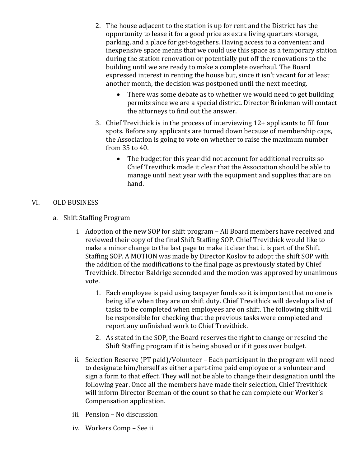- 2. The house adjacent to the station is up for rent and the District has the opportunity to lease it for a good price as extra living quarters storage, parking, and a place for get-togethers. Having access to a convenient and inexpensive space means that we could use this space as a temporary station during the station renovation or potentially put off the renovations to the building until we are ready to make a complete overhaul. The Board expressed interest in renting the house but, since it isn't vacant for at least another month, the decision was postponed until the next meeting.
	- There was some debate as to whether we would need to get building permits since we are a special district. Director Brinkman will contact the attorneys to find out the answer.
- 3. Chief Trevithick is in the process of interviewing  $12+$  applicants to fill four spots. Before any applicants are turned down because of membership caps, the Association is going to vote on whether to raise the maximum number from 35 to 40.
	- The budget for this year did not account for additional recruits so Chief Trevithick made it clear that the Association should be able to manage until next year with the equipment and supplies that are on hand.

### VI. OLD BUSINESS

- a. Shift Staffing Program
	- i. Adoption of the new SOP for shift program All Board members have received and reviewed their copy of the final Shift Staffing SOP. Chief Trevithick would like to make a minor change to the last page to make it clear that it is part of the Shift Staffing SOP. A MOTION was made by Director Koslov to adopt the shift SOP with the addition of the modifications to the final page as previously stated by Chief Trevithick. Director Baldrige seconded and the motion was approved by unanimous vote.
		- 1. Each employee is paid using taxpayer funds so it is important that no one is being idle when they are on shift duty. Chief Trevithick will develop a list of tasks to be completed when employees are on shift. The following shift will be responsible for checking that the previous tasks were completed and report any unfinished work to Chief Trevithick.
		- 2. As stated in the SOP, the Board reserves the right to change or rescind the Shift Staffing program if it is being abused or if it goes over budget.
	- ii. Selection Reserve  $(PT$  paid)/Volunteer Each participant in the program will need to designate him/herself as either a part-time paid employee or a volunteer and sign a form to that effect. They will not be able to change their designation until the following year. Once all the members have made their selection, Chief Trevithick will inform Director Beeman of the count so that he can complete our Worker's Compensation application.
	- iii. Pension No discussion
	- iv. Workers Comp See ii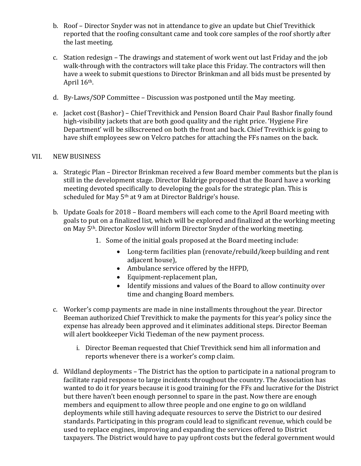- b. Roof Director Snyder was not in attendance to give an update but Chief Trevithick reported that the roofing consultant came and took core samples of the roof shortly after the last meeting.
- c. Station redesign The drawings and statement of work went out last Friday and the job walk-through with the contractors will take place this Friday. The contractors will then have a week to submit questions to Director Brinkman and all bids must be presented by April  $16<sup>th</sup>$ .
- d. By-Laws/SOP Committee Discussion was postponed until the May meeting.
- e. Jacket cost (Bashor) Chief Trevithick and Pension Board Chair Paul Bashor finally found high-visibility jackets that are both good quality and the right price. 'Hygiene Fire Department' will be silkscreened on both the front and back. Chief Trevithick is going to have shift employees sew on Velcro patches for attaching the FFs names on the back.

### VII. NEW BUSINESS

- a. Strategic Plan Director Brinkman received a few Board member comments but the plan is still in the development stage. Director Baldrige proposed that the Board have a working meeting devoted specifically to developing the goals for the strategic plan. This is scheduled for May 5<sup>th</sup> at 9 am at Director Baldrige's house.
- b. Update Goals for 2018 Board members will each come to the April Board meeting with goals to put on a finalized list, which will be explored and finalized at the working meeting on May 5<sup>th</sup>. Director Koslov will inform Director Snyder of the working meeting.
	- 1. Some of the initial goals proposed at the Board meeting include:
		- Long-term facilities plan (renovate/rebuild/keep building and rent adjacent house),
		- Ambulance service offered by the HFPD,
		- Equipment-replacement plan,
		- Identify missions and values of the Board to allow continuity over time and changing Board members.
- c. Worker's comp payments are made in nine installments throughout the year. Director Beeman authorized Chief Trevithick to make the payments for this year's policy since the expense has already been approved and it eliminates additional steps. Director Beeman will alert bookkeeper Vicki Tiedeman of the new payment process.
	- i. Director Beeman requested that Chief Trevithick send him all information and reports whenever there is a worker's comp claim.
- d. Wildland deployments The District has the option to participate in a national program to facilitate rapid response to large incidents throughout the country. The Association has wanted to do it for years because it is good training for the FFs and lucrative for the District but there haven't been enough personnel to spare in the past. Now there are enough members and equipment to allow three people and one engine to go on wildland deployments while still having adequate resources to serve the District to our desired standards. Participating in this program could lead to significant revenue, which could be used to replace engines, improving and expanding the services offered to District taxpayers. The District would have to pay upfront costs but the federal government would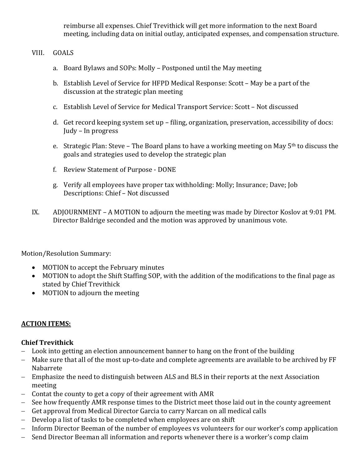reimburse all expenses. Chief Trevithick will get more information to the next Board meeting, including data on initial outlay, anticipated expenses, and compensation structure.

### VIII. GOALS

- a. Board Bylaws and SOPs: Molly Postponed until the May meeting
- b. Establish Level of Service for HFPD Medical Response: Scott May be a part of the discussion at the strategic plan meeting
- c. Establish Level of Service for Medical Transport Service: Scott Not discussed
- d. Get record keeping system set up filing, organization, preservation, accessibility of docs: Judy - In progress
- e. Strategic Plan: Steve The Board plans to have a working meeting on May  $5<sup>th</sup>$  to discuss the goals and strategies used to develop the strategic plan
- f. Review Statement of Purpose DONE
- g. Verify all employees have proper tax withholding: Molly; Insurance; Dave; Job Descriptions: Chief - Not discussed
- IX. ADJOURNMENT A MOTION to adjourn the meeting was made by Director Koslov at 9:01 PM. Director Baldrige seconded and the motion was approved by unanimous vote.

Motion/Resolution Summary:

- MOTION to accept the February minutes
- MOTION to adopt the Shift Staffing SOP, with the addition of the modifications to the final page as stated by Chief Trevithick
- MOTION to adjourn the meeting

### **ACTION ITEMS:**

### **Chief Trevithick**

- $-$  Look into getting an election announcement banner to hang on the front of the building
- Make sure that all of the most up-to-date and complete agreements are available to be archived by FF Nabarrete
- Emphasize the need to distinguish between ALS and BLS in their reports at the next Association meeting
- $-$  Contat the county to get a copy of their agreement with AMR
- See how frequently AMR response times to the District meet those laid out in the county agreement
- Get approval from Medical Director Garcia to carry Narcan on all medical calls
- Develop a list of tasks to be completed when employees are on shift
- Inform Director Beeman of the number of employees vs volunteers for our worker's comp application
- Send Director Beeman all information and reports whenever there is a worker's comp claim